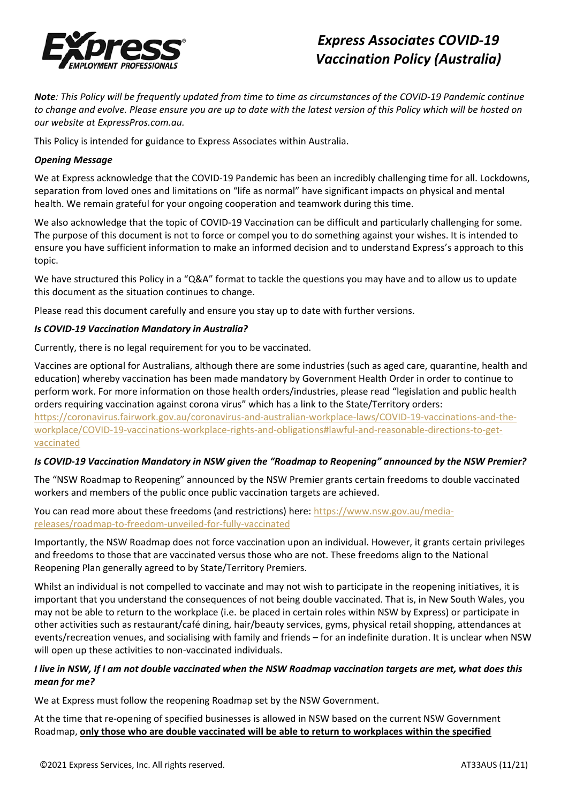

# *Express Associates COVID-19 Vaccination Policy (Australia)*

*Note: This Policy will be frequently updated from time to time as circumstances of the COVID-19 Pandemic continue to change and evolve. Please ensure you are up to date with the latest version of this Policy which will be hosted on our website at ExpressPros.com.au.*

This Policy is intended for guidance to Express Associates within Australia.

## *Opening Message*

We at Express acknowledge that the COVID-19 Pandemic has been an incredibly challenging time for all. Lockdowns, separation from loved ones and limitations on "life as normal" have significant impacts on physical and mental health. We remain grateful for your ongoing cooperation and teamwork during this time.

We also acknowledge that the topic of COVID-19 Vaccination can be difficult and particularly challenging for some. The purpose of this document is not to force or compel you to do something against your wishes. It is intended to ensure you have sufficient information to make an informed decision and to understand Express's approach to this topic.

We have structured this Policy in a "Q&A" format to tackle the questions you may have and to allow us to update this document as the situation continues to change.

Please read this document carefully and ensure you stay up to date with further versions.

## *Is COVID-19 Vaccination Mandatory in Australia?*

Currently, there is no legal requirement for you to be vaccinated.

Vaccines are optional for Australians, although there are some industries (such as aged care, quarantine, health and education) whereby vaccination has been made mandatory by Government Health Order in order to continue to perform work. For more information on those health orders/industries, please read "legislation and public health orders requiring vaccination against corona virus" which has a link to the State/Territory orders:

[https://coronavirus.fairwork.gov.au/coronavirus-and-australian-workplace-laws/COVID-19-vaccinations-and-the](https://coronavirus.fairwork.gov.au/coronavirus-and-australian-workplace-laws/covid-19-vaccinations-and-the-workplace/covid-19-vaccinations-workplace-rights-and-obligations#lawful-and-reasonable-directions-to-get-vaccinated)[workplace/COVID-19-vaccinations-workplace-rights-and-obligations#lawful-and-reasonable-directions-to-get](https://coronavirus.fairwork.gov.au/coronavirus-and-australian-workplace-laws/covid-19-vaccinations-and-the-workplace/covid-19-vaccinations-workplace-rights-and-obligations#lawful-and-reasonable-directions-to-get-vaccinated)[vaccinated](https://coronavirus.fairwork.gov.au/coronavirus-and-australian-workplace-laws/covid-19-vaccinations-and-the-workplace/covid-19-vaccinations-workplace-rights-and-obligations#lawful-and-reasonable-directions-to-get-vaccinated)

#### *Is COVID-19 Vaccination Mandatory in NSW given the "Roadmap to Reopening" announced by the NSW Premier?*

The "NSW Roadmap to Reopening" announced by the NSW Premier grants certain freedoms to double vaccinated workers and members of the public once public vaccination targets are achieved.

You can read more about these freedoms (and restrictions) here: [https://www.nsw.gov.au/media](https://www.nsw.gov.au/media-releases/roadmap-to-freedom-unveiled-for-fully-vaccinated)[releases/roadmap-to-freedom-unveiled-for-fully-vaccinated](https://www.nsw.gov.au/media-releases/roadmap-to-freedom-unveiled-for-fully-vaccinated)

Importantly, the NSW Roadmap does not force vaccination upon an individual. However, it grants certain privileges and freedoms to those that are vaccinated versus those who are not. These freedoms align to the National Reopening Plan generally agreed to by State/Territory Premiers.

Whilst an individual is not compelled to vaccinate and may not wish to participate in the reopening initiatives, it is important that you understand the consequences of not being double vaccinated. That is, in New South Wales, you may not be able to return to the workplace (i.e. be placed in certain roles within NSW by Express) or participate in other activities such as restaurant/café dining, hair/beauty services, gyms, physical retail shopping, attendances at events/recreation venues, and socialising with family and friends – for an indefinite duration. It is unclear when NSW will open up these activities to non-vaccinated individuals.

## *I live in NSW, If I am not double vaccinated when the NSW Roadmap vaccination targets are met, what does this mean for me?*

We at Express must follow the reopening Roadmap set by the NSW Government.

At the time that re-opening of specified businesses is allowed in NSW based on the current NSW Government Roadmap, **only those who are double vaccinated will be able to return to workplaces within the specified**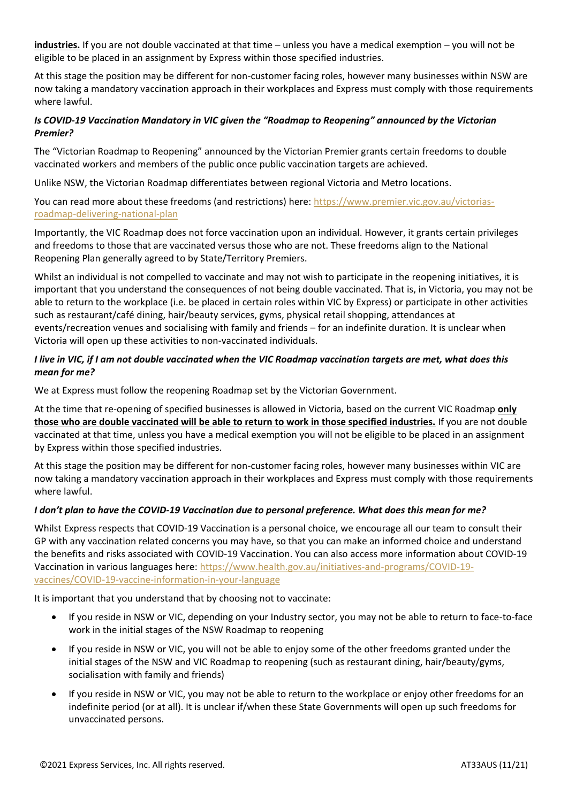**industries.** If you are not double vaccinated at that time – unless you have a medical exemption – you will not be eligible to be placed in an assignment by Express within those specified industries.

At this stage the position may be different for non-customer facing roles, however many businesses within NSW are now taking a mandatory vaccination approach in their workplaces and Express must comply with those requirements where lawful.

## *Is COVID-19 Vaccination Mandatory in VIC given the "Roadmap to Reopening" announced by the Victorian Premier?*

The "Victorian Roadmap to Reopening" announced by the Victorian Premier grants certain freedoms to double vaccinated workers and members of the public once public vaccination targets are achieved.

Unlike NSW, the Victorian Roadmap differentiates between regional Victoria and Metro locations.

You can read more about these freedoms (and restrictions) here: [https://www.premier.vic.gov.au/victorias](https://www.premier.vic.gov.au/victorias-roadmap-delivering-national-plan)[roadmap-delivering-national-plan](https://www.premier.vic.gov.au/victorias-roadmap-delivering-national-plan)

Importantly, the VIC Roadmap does not force vaccination upon an individual. However, it grants certain privileges and freedoms to those that are vaccinated versus those who are not. These freedoms align to the National Reopening Plan generally agreed to by State/Territory Premiers.

Whilst an individual is not compelled to vaccinate and may not wish to participate in the reopening initiatives, it is important that you understand the consequences of not being double vaccinated. That is, in Victoria, you may not be able to return to the workplace (i.e. be placed in certain roles within VIC by Express) or participate in other activities such as restaurant/café dining, hair/beauty services, gyms, physical retail shopping, attendances at events/recreation venues and socialising with family and friends – for an indefinite duration. It is unclear when Victoria will open up these activities to non-vaccinated individuals.

### *I live in VIC, if I am not double vaccinated when the VIC Roadmap vaccination targets are met, what does this mean for me?*

We at Express must follow the reopening Roadmap set by the Victorian Government.

At the time that re-opening of specified businesses is allowed in Victoria, based on the current VIC Roadmap **only those who are double vaccinated will be able to return to work in those specified industries.** If you are not double vaccinated at that time, unless you have a medical exemption you will not be eligible to be placed in an assignment by Express within those specified industries.

At this stage the position may be different for non-customer facing roles, however many businesses within VIC are now taking a mandatory vaccination approach in their workplaces and Express must comply with those requirements where lawful.

#### *I don't plan to have the COVID-19 Vaccination due to personal preference. What does this mean for me?*

Whilst Express respects that COVID-19 Vaccination is a personal choice, we encourage all our team to consult their GP with any vaccination related concerns you may have, so that you can make an informed choice and understand the benefits and risks associated with COVID-19 Vaccination. You can also access more information about COVID-19 Vaccination in various languages here[: https://www.health.gov.au/initiatives-and-programs/COVID-19](https://www.health.gov.au/initiatives-and-programs/covid-19-vaccines/covid-19-vaccine-information-in-your-language) [vaccines/COVID-19-vaccine-information-in-your-language](https://www.health.gov.au/initiatives-and-programs/covid-19-vaccines/covid-19-vaccine-information-in-your-language)

It is important that you understand that by choosing not to vaccinate:

- If you reside in NSW or VIC, depending on your Industry sector, you may not be able to return to face-to-face work in the initial stages of the NSW Roadmap to reopening
- If you reside in NSW or VIC, you will not be able to enjoy some of the other freedoms granted under the initial stages of the NSW and VIC Roadmap to reopening (such as restaurant dining, hair/beauty/gyms, socialisation with family and friends)
- If you reside in NSW or VIC, you may not be able to return to the workplace or enjoy other freedoms for an indefinite period (or at all). It is unclear if/when these State Governments will open up such freedoms for unvaccinated persons.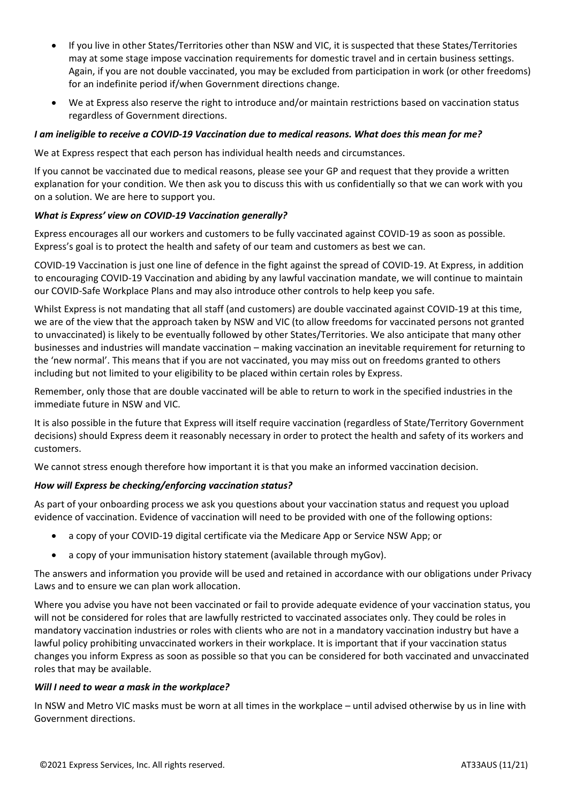- If you live in other States/Territories other than NSW and VIC, it is suspected that these States/Territories may at some stage impose vaccination requirements for domestic travel and in certain business settings. Again, if you are not double vaccinated, you may be excluded from participation in work (or other freedoms) for an indefinite period if/when Government directions change.
- We at Express also reserve the right to introduce and/or maintain restrictions based on vaccination status regardless of Government directions.

## *I am ineligible to receive a COVID-19 Vaccination due to medical reasons. What does this mean for me?*

We at Express respect that each person has individual health needs and circumstances.

If you cannot be vaccinated due to medical reasons, please see your GP and request that they provide a written explanation for your condition. We then ask you to discuss this with us confidentially so that we can work with you on a solution. We are here to support you.

#### *What is Express' view on COVID-19 Vaccination generally?*

Express encourages all our workers and customers to be fully vaccinated against COVID-19 as soon as possible. Express's goal is to protect the health and safety of our team and customers as best we can.

COVID-19 Vaccination is just one line of defence in the fight against the spread of COVID-19. At Express, in addition to encouraging COVID-19 Vaccination and abiding by any lawful vaccination mandate, we will continue to maintain our COVID-Safe Workplace Plans and may also introduce other controls to help keep you safe.

Whilst Express is not mandating that all staff (and customers) are double vaccinated against COVID-19 at this time, we are of the view that the approach taken by NSW and VIC (to allow freedoms for vaccinated persons not granted to unvaccinated) is likely to be eventually followed by other States/Territories. We also anticipate that many other businesses and industries will mandate vaccination – making vaccination an inevitable requirement for returning to the 'new normal'. This means that if you are not vaccinated, you may miss out on freedoms granted to others including but not limited to your eligibility to be placed within certain roles by Express.

Remember, only those that are double vaccinated will be able to return to work in the specified industries in the immediate future in NSW and VIC.

It is also possible in the future that Express will itself require vaccination (regardless of State/Territory Government decisions) should Express deem it reasonably necessary in order to protect the health and safety of its workers and customers.

We cannot stress enough therefore how important it is that you make an informed vaccination decision.

#### *How will Express be checking/enforcing vaccination status?*

As part of your onboarding process we ask you questions about your vaccination status and request you upload evidence of vaccination. Evidence of vaccination will need to be provided with one of the following options:

- a copy of your COVID-19 digital certificate via the Medicare App or Service NSW App; or
- a copy of your immunisation history statement (available through myGov).

The answers and information you provide will be used and retained in accordance with our obligations under Privacy Laws and to ensure we can plan work allocation.

Where you advise you have not been vaccinated or fail to provide adequate evidence of your vaccination status, you will not be considered for roles that are lawfully restricted to vaccinated associates only. They could be roles in mandatory vaccination industries or roles with clients who are not in a mandatory vaccination industry but have a lawful policy prohibiting unvaccinated workers in their workplace. It is important that if your vaccination status changes you inform Express as soon as possible so that you can be considered for both vaccinated and unvaccinated roles that may be available.

#### *Will I need to wear a mask in the workplace?*

In NSW and Metro VIC masks must be worn at all times in the workplace – until advised otherwise by us in line with Government directions.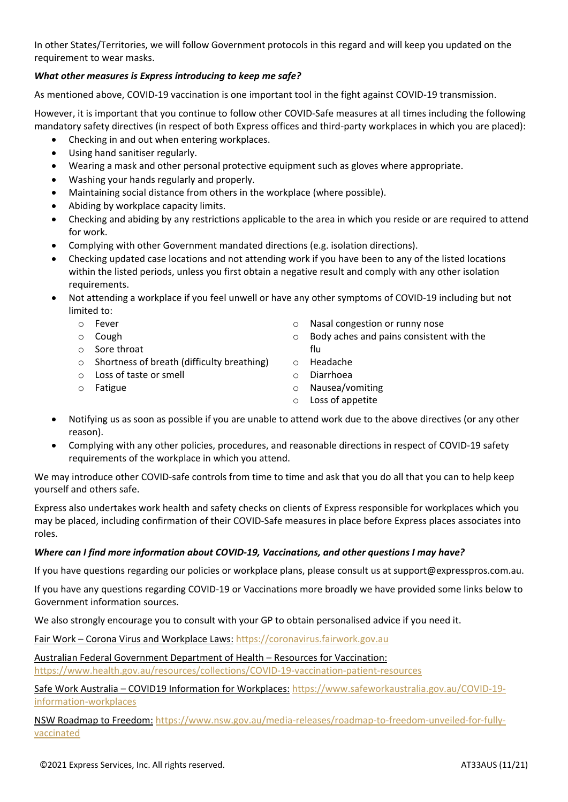In other States/Territories, we will follow Government protocols in this regard and will keep you updated on the requirement to wear masks.

## *What other measures is Express introducing to keep me safe?*

As mentioned above, COVID-19 vaccination is one important tool in the fight against COVID-19 transmission.

However, it is important that you continue to follow other COVID-Safe measures at all times including the following mandatory safety directives (in respect of both Express offices and third-party workplaces in which you are placed):

- Checking in and out when entering workplaces.
- Using hand sanitiser regularly.
- Wearing a mask and other personal protective equipment such as gloves where appropriate.
- Washing your hands regularly and properly.
- Maintaining social distance from others in the workplace (where possible).
- Abiding by workplace capacity limits.
- Checking and abiding by any restrictions applicable to the area in which you reside or are required to attend for work.
- Complying with other Government mandated directions (e.g. isolation directions).
- Checking updated case locations and not attending work if you have been to any of the listed locations within the listed periods, unless you first obtain a negative result and comply with any other isolation requirements.
- Not attending a workplace if you feel unwell or have any other symptoms of COVID-19 including but not limited to:
	- o Fever
	- o Cough
	- o Sore throat
	- o Shortness of breath (difficulty breathing)
	- o Loss of taste or smell
	- o Fatigue
- o Nasal congestion or runny nose
- o Body aches and pains consistent with the flu
- o Headache
- o Diarrhoea
- o Nausea/vomiting
- o Loss of appetite
- Notifying us as soon as possible if you are unable to attend work due to the above directives (or any other reason).
- Complying with any other policies, procedures, and reasonable directions in respect of COVID-19 safety requirements of the workplace in which you attend.

We may introduce other COVID-safe controls from time to time and ask that you do all that you can to help keep yourself and others safe.

Express also undertakes work health and safety checks on clients of Express responsible for workplaces which you may be placed, including confirmation of their COVID-Safe measures in place before Express places associates into roles.

#### *Where can I find more information about COVID-19, Vaccinations, and other questions I may have?*

If you have questions regarding our policies or workplace plans, please consult us at support@expresspros.com.au.

If you have any questions regarding COVID-19 or Vaccinations more broadly we have provided some links below to Government information sources.

We also strongly encourage you to consult with your GP to obtain personalised advice if you need it.

Fair Work – Corona Virus and Workplace Laws: [https://coronavirus.fairwork.gov.au](https://coronavirus.fairwork.gov.au/)

Australian Federal Government Department of Health – Resources for Vaccination:

[https://www.health.gov.au/resources/collections/COVID-19-vaccination-patient-resources](https://www.health.gov.au/resources/collections/covid-19-vaccination-patient-resources)

Safe Work Australia – COVID19 Information for Workplaces: [https://www.safeworkaustralia.gov.au/COVID-19](https://www.safeworkaustralia.gov.au/covid-19-information-workplaces) [information-workplaces](https://www.safeworkaustralia.gov.au/covid-19-information-workplaces)

NSW Roadmap to Freedom: [https://www.nsw.gov.au/media-releases/roadmap-to-freedom-unveiled-for-fully](https://www.nsw.gov.au/media-releases/roadmap-to-freedom-unveiled-for-fully-vaccinated)[vaccinated](https://www.nsw.gov.au/media-releases/roadmap-to-freedom-unveiled-for-fully-vaccinated)